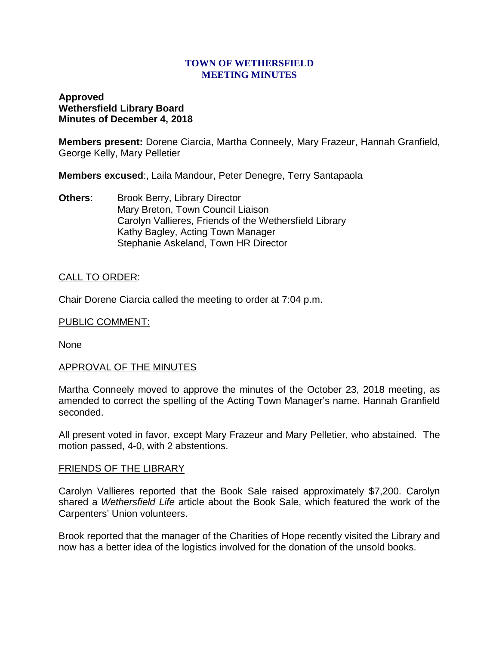### **TOWN OF WETHERSFIELD MEETING MINUTES**

# **Approved Wethersfield Library Board Minutes of December 4, 2018**

**Members present:** Dorene Ciarcia, Martha Conneely, Mary Frazeur, Hannah Granfield, George Kelly, Mary Pelletier

**Members excused**:, Laila Mandour, Peter Denegre, Terry Santapaola

**Others:** Brook Berry, Library Director Mary Breton, Town Council Liaison Carolyn Vallieres, Friends of the Wethersfield Library Kathy Bagley, Acting Town Manager Stephanie Askeland, Town HR Director

## CALL TO ORDER:

Chair Dorene Ciarcia called the meeting to order at 7:04 p.m.

## PUBLIC COMMENT:

None

### APPROVAL OF THE MINUTES

Martha Conneely moved to approve the minutes of the October 23, 2018 meeting, as amended to correct the spelling of the Acting Town Manager's name. Hannah Granfield seconded.

All present voted in favor, except Mary Frazeur and Mary Pelletier, who abstained. The motion passed, 4-0, with 2 abstentions.

### FRIENDS OF THE LIBRARY

Carolyn Vallieres reported that the Book Sale raised approximately \$7,200. Carolyn shared a *Wethersfield Life* article about the Book Sale, which featured the work of the Carpenters' Union volunteers.

Brook reported that the manager of the Charities of Hope recently visited the Library and now has a better idea of the logistics involved for the donation of the unsold books.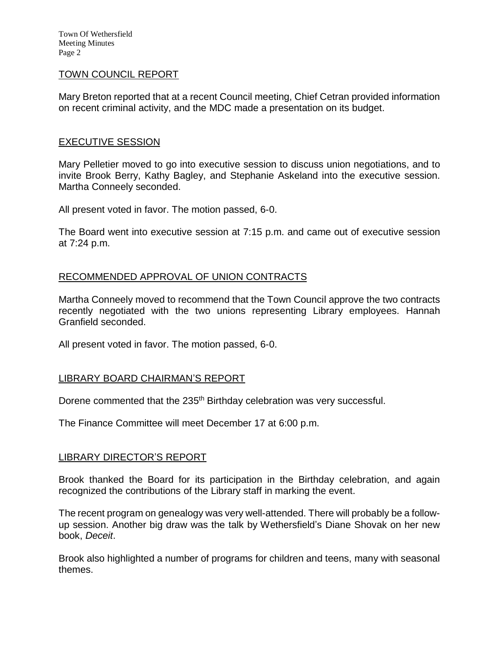Town Of Wethersfield Meeting Minutes Page 2

## TOWN COUNCIL REPORT

Mary Breton reported that at a recent Council meeting, Chief Cetran provided information on recent criminal activity, and the MDC made a presentation on its budget.

## EXECUTIVE SESSION

Mary Pelletier moved to go into executive session to discuss union negotiations, and to invite Brook Berry, Kathy Bagley, and Stephanie Askeland into the executive session. Martha Conneely seconded.

All present voted in favor. The motion passed, 6-0.

The Board went into executive session at 7:15 p.m. and came out of executive session at 7:24 p.m.

## RECOMMENDED APPROVAL OF UNION CONTRACTS

Martha Conneely moved to recommend that the Town Council approve the two contracts recently negotiated with the two unions representing Library employees. Hannah Granfield seconded.

All present voted in favor. The motion passed, 6-0.

### LIBRARY BOARD CHAIRMAN'S REPORT

Dorene commented that the 235<sup>th</sup> Birthday celebration was very successful.

The Finance Committee will meet December 17 at 6:00 p.m.

### LIBRARY DIRECTOR'S REPORT

Brook thanked the Board for its participation in the Birthday celebration, and again recognized the contributions of the Library staff in marking the event.

The recent program on genealogy was very well-attended. There will probably be a followup session. Another big draw was the talk by Wethersfield's Diane Shovak on her new book, *Deceit*.

Brook also highlighted a number of programs for children and teens, many with seasonal themes.